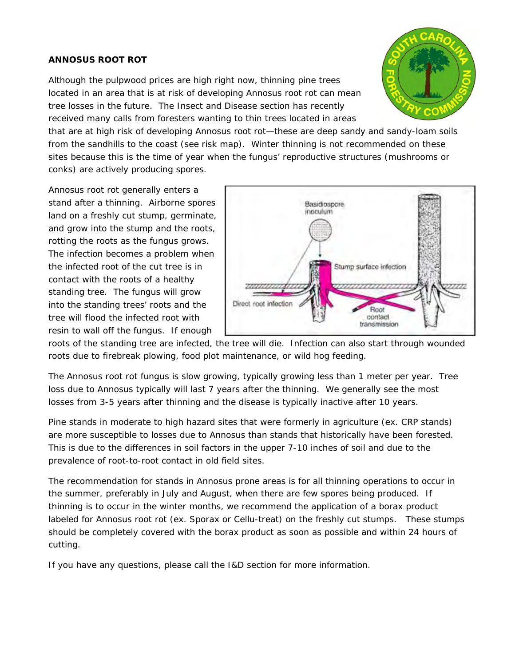## **ANNOSUS ROOT ROT**

Although the pulpwood prices are high right now, thinning pine trees located in an area that is at risk of developing Annosus root rot can mean tree losses in the future. The Insect and Disease section has recently received many calls from foresters wanting to thin trees located in areas



that are at high risk of developing Annosus root rot—these are deep sandy and sandy-loam soils from the sandhills to the coast (see risk map). Winter thinning is not recommended on these sites because this is the time of year when the fungus' reproductive structures (mushrooms or conks) are actively producing spores.

Annosus root rot generally enters a stand after a thinning. Airborne spores land on a freshly cut stump, germinate, and grow into the stump and the roots, rotting the roots as the fungus grows. The infection becomes a problem when the infected root of the cut tree is in contact with the roots of a healthy standing tree. The fungus will grow into the standing trees' roots and the tree will flood the infected root with resin to wall off the fungus. If enough



roots of the standing tree are infected, the tree will die. Infection can also start through wounded roots due to firebreak plowing, food plot maintenance, or wild hog feeding.

The Annosus root rot fungus is slow growing, typically growing less than 1 meter per year. Tree loss due to Annosus typically will last 7 years after the thinning. We generally see the most losses from 3-5 years after thinning and the disease is typically inactive after 10 years.

Pine stands in moderate to high hazard sites that were formerly in agriculture (ex. CRP stands) are more susceptible to losses due to Annosus than stands that historically have been forested. This is due to the differences in soil factors in the upper 7-10 inches of soil and due to the prevalence of root-to-root contact in old field sites.

The recommendation for stands in Annosus prone areas is for all thinning operations to occur in the summer, preferably in July and August, when there are few spores being produced. If thinning is to occur in the winter months, we recommend the application of a borax product labeled for Annosus root rot (ex. Sporax or Cellu-treat) on the freshly cut stumps. These stumps should be completely covered with the borax product as soon as possible and within 24 hours of cutting.

If you have any questions, please call the I&D section for more information.